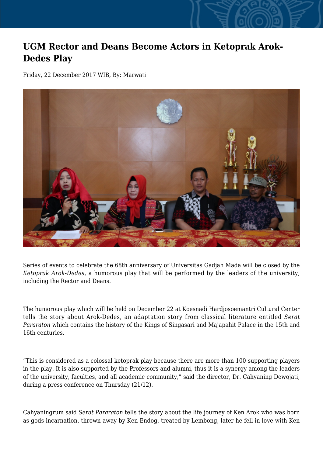## **UGM Rector and Deans Become Actors in Ketoprak Arok-Dedes Play**

Friday, 22 December 2017 WIB, By: Marwati



Series of events to celebrate the 68th anniversary of Universitas Gadjah Mada will be closed by the *Ketoprak Arok-Dedes*, a humorous play that will be performed by the leaders of the university, including the Rector and Deans.

The humorous play which will be held on December 22 at Koesnadi Hardjosoemantri Cultural Center tells the story about Arok-Dedes, an adaptation story from classical literature entitled *Serat Pararaton* which contains the history of the Kings of Singasari and Majapahit Palace in the 15th and 16th centuries.

"This is considered as a colossal ketoprak play because there are more than 100 supporting players in the play. It is also supported by the Professors and alumni, thus it is a synergy among the leaders of the university, faculties, and all academic community," said the director, Dr. Cahyaning Dewojati, during a press conference on Thursday (21/12).

Cahyaningrum said *Serat Pararaton* tells the story about the life journey of Ken Arok who was born as gods incarnation, thrown away by Ken Endog, treated by Lembong, later he fell in love with Ken